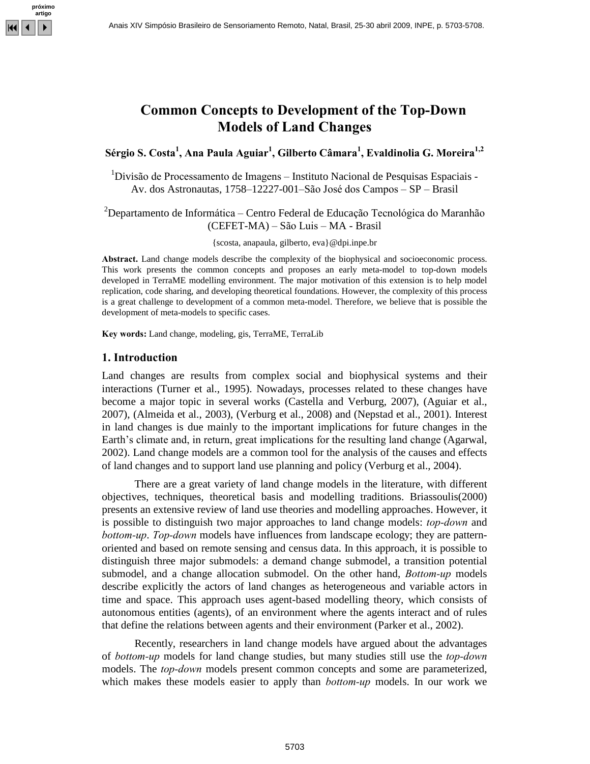

## **Concepts to Development of the Top-Down** o Development of the To<br>of Land Changes **S. Costa Ana Paula Aguiar Gilberto C'mara Evaldinolia G. Moreira 1***1Change*

# érgio S. Costa<sup>1</sup>, Ana Paula Aguiar<sup>1</sup>, Gilberto Câmara<sup>1</sup>, Evaldinolia G. Moreira<sup>1,2</sup><br><sup>1</sup>Divisão de Processamento de Imagens – Instituto Nacional de Pesquisas Espaciais -

<sup>1</sup>Divisão de Processamento de Imagens — Instituto Nacional de Pesquisas Espaciais - Av. dos Astronautas, 1758–12227-001–São José dos Campos — SP — Brasil Av. dos Astronautas, 1758–12227-001–São José dos Campos – SP – Brasil<br><sup>2</sup>Departamento de Informática – Centro Federal de Educação Tecnológica do Maranhão

mática – Centro Federal de Educação Tecnoló<br>(CEFET-MA) – São Luis – MA - Brasil

{scosta, anapaula, gilberto, [eva}@dpi.inpe.br](mailto:eva}@dpi.inpe.br) **Abstract.**

Abstract. Land change models describe the complexity of the biophysical and socioeconomic process. This work presents the common concepts and proposes an early meta-model to top-down models developed in TerraME modelling environment. The major motivation of this extension is to help model replication, code sharing, and developing theoretical foundations. However, the complexity of this process is a great challenge to development of a common meta-model. Therefore, we believe that is possible the development of meta-models to specific cases. **words:** Land change, modeling, gis, TerraME, TerraLib **1. Introduction**

Land changes are results from complex social and biophysical systems and their interactions (Turner et al., 1995). Nowadays, processes related to these changes have become a major topic in several works (Castella and Verburg, 2007), (Aguiar et al., 2007), (Almeida et al., 2003), (Verburg et al., 2008) and (Nepstad et al., 2001). Interest in land changes is due mainly to the important implications for future changes in the 2007), (Almeida et al., 2003), (Verburg et al., 2008) and (Nepstad et al., 2001). Interest<br>in land changes is due mainly to the important implications for future changes in the<br>Earth's climate and, in return, great implica 2002). Land change models are a common tool for the analysis of the causes and effects of land changes and to support land use planning and policy (Verburg et al., 2004).

There are a great variety of land change models in the literature, with different objectives, techniques, theoretical basis and modelling traditions. Briassoulis(2000) presents an extensive review of land use theories and modelling approaches. However, it is possible to distinguish two major approaches presents an extensive review of land use theories and modelling approaches. However, it<br>is possible to distinguish two major approaches to land change models: *top-down* and<br>*bottom-up. Top-down* models have influences fro oriented and based on remote sensing and census data. In this approach, it is possible to distinguish three major submodels: a demand change submodel, a transition potential submodel, and a change allocation submodel. On t distinguish three major submodels: a demand change submodel, a transition potential describe explicitly the actors of land changes as heterogeneous and variable actors in time and space. This approach uses agent-based modelling theory, which consists of autonomous entities (agents), of an environment where the agents interact and ofrules that define the relations between agents and their environment (Parker et al., 2002).

Recently, researchers in land change models have argued about the advantages that define the relations between agents and their environment (Parker et al., 2002).<br>Recently, researchers in land change models have argued about the advantages<br>of *bottom-up* models for land change studies, but many stu Recently, researchers in land change models have argued about the advantages<br>of *bottom-up* models for land change studies, but many studies still use the *top-down*<br>models. The *top-down* models present common concepts an of *bottom-up* models for land change studies, but many studies still use the *top-down* models. The *top-down* models present common concepts and some are parameterized, which makes these models easier to apply than *bott*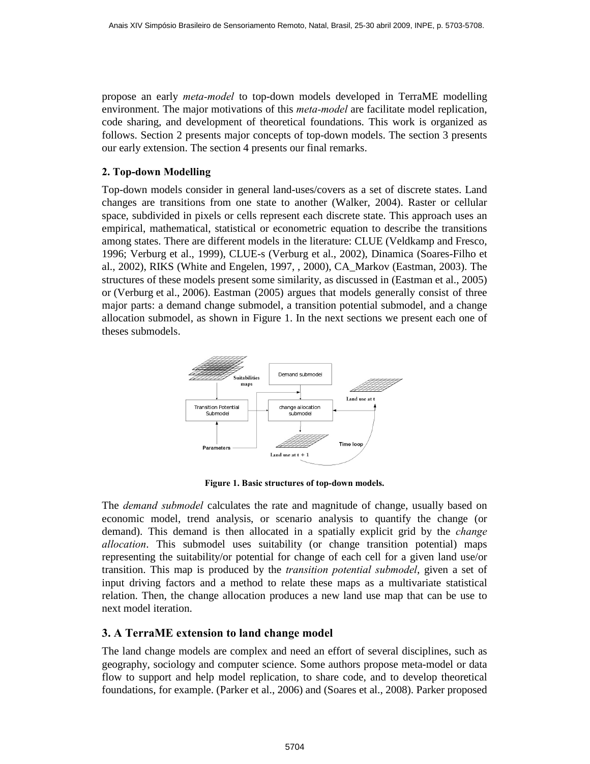propose an early meta-model to top-down models developed in TerraME modelling environment. The major motivations of this *meta-model* are facilitate model replication, code sharing, and development of theoretical foundations. This work is organized as follows. Section 2 presents major concepts of top-down models. The section 3 presents our early extension. The section 4 presents our final remarks. **2. Top-down Modelling**

Top-down models consider in general land-uses/covers as a set of discrete states. Land changes are transitions from one state to another (Walker, 2004). Raster or cellular space, subdivided in pixels or cells represent each discrete state. This approach uses an empirical, mathematical, statistical or econometric equation to describe the transitions among states. There are different models in the literature: CLUE (Veldkamp and Fresco, 1996; Verburg et al., 1999), CLUE-s (Verburg et al., 2002), Dinamica (Soares-Filho et al., 2002), RIKS (White and Engelen, 1997, , 2000), CA\_Markov (Eastman, 2003). The structures of these models present some similarity, as discussed in (Eastman et al., 2005) or (Verburg et al., 2006). Eastman (2005) argues that models generally consist of three major parts: a demand change submodel, a transition potential submodel, and a change allocation submodel, as shown in Figure 1. In the next sections we present each one of theses submodels.



**1. Basic structures of top-down models.**

The *demand submodel* calculates the rate and magnitude of change, usually based on economic model, trend analysis, or scenario analysis to quantify the change (or The *demand submodel* calculates the rate and magnitude of change, usually based on economic model, trend analysis, or scenario analysis to quantify the change (or demand). This demand is then allocated in a spatially expl economic *allocation*. This submodel uses suitability (or change transition potential) maps representing the suitability/or potential for change of each cell for a given land use/or allocation. This submodel uses suitability (or change transition potential) maps<br>representing the suitability/or potential for change of each cell for a given land use/or<br>transition. This map is produced by the *transition* input driving factors and a method to relate these maps as a multivariate statistical relation. Then, the change allocation produces a new land use map that can be use to next model iteration. **3.**

## **<sup>A</sup> TerraME extension to land change model**

The land change models are complex and need an effort of several disciplines, such as geography, sociology and computer science. Some authors propose meta-model or data flow to support and help model replication, to share code, and to develop theoretical foundations, for example. (Parker et al., 2006) and (Soares et al., 2008). Parker proposed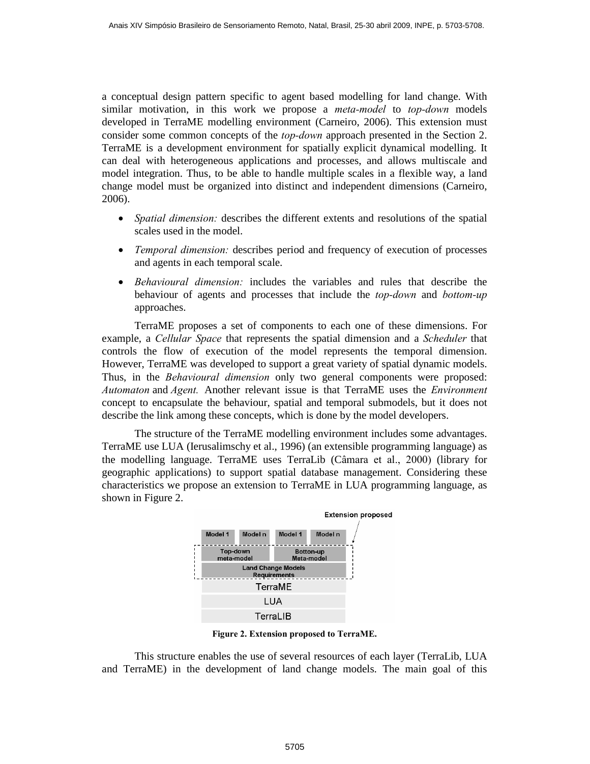a conceptual design pattern specific to agent based modelling for land change. With a conceptual design pattern specific to agent based modelling for land change. With<br>similar motivation, in this work we propose a *meta-model* to *top-down* models developed in TerraME modelling environment (Carneiro, 2006). This extension must similar motivation, in this work we propose a *meta-model* to *top-down* models developed in TerraME modelling environment (Carneiro, 2006). This extension must consider some common concepts of the *top-down* approach pres TerraME is a development environment for spatially explicit dynamical modelling. It can deal with heterogeneous applications and processes, and allows multiscale and model integration. Thus, to be able to handle multiple scales in a flexible way, a land change model must be organized into distinct and independent dimensions (Carneiro, 2006).

- Spatial dimension: describes the different extents and resolutions of the spatial scales used in the model.
- Temporal dimension: describes period and frequency of execution of processes and agents in each temporal scale. Femporal dimension: describes period and frequency of execution of processes<br>and agents in each temporal scale.<br>Behavioural dimension: includes the variables and rules that describe the
- and agents in each temporal scale.<br>Behavioural dimension: includes the variables and rules that describe the<br>behaviour of agents and processes that include the *top-down* and *bottom-up* approaches.

TerraME proposes a set of components to each one of these dimensions. For example, a *Cellular Space* that represents the spatial dimension and a *Scheduler* that controls the flow of execution of the model represents the temporal dimension. However, TerraME was developed to support a great variety of spatial dynamic models. controls the flow of execution of the model represents the temporal dimension.<br>However, TerraME was developed to support a great variety of spatial dynamic models.<br>Thus, in the *Behavioural dimension* only two general comp However, TerraME was developed to support a great variety of spatial dynamic models.<br>Thus, in the *Behavioural dimension* only two general components were proposed:<br>Automaton and Agent. Another relevant issue is that Terra concept to encapsulate the behaviour, spatial and temporal submodels, but it does not describe the link among these concepts, which is done by the model developers.

The structure of the TerraME modelling environment includes some advantages. TerraME use LUA (Ierusalimschy et al., 1996) (an extensible programming language) as the modelling language. TerraME uses TerraLib (C'mara etal., 2000) (library for geographic applications) to support spatial database management. Considering these characteristics we propose an extension to TerraME in LUA programming language, as shown in Figure 2.



This structure enables the use of several resources of each layer (TerraLib, LUA and TerraME) in the development of land change models. The main goal of this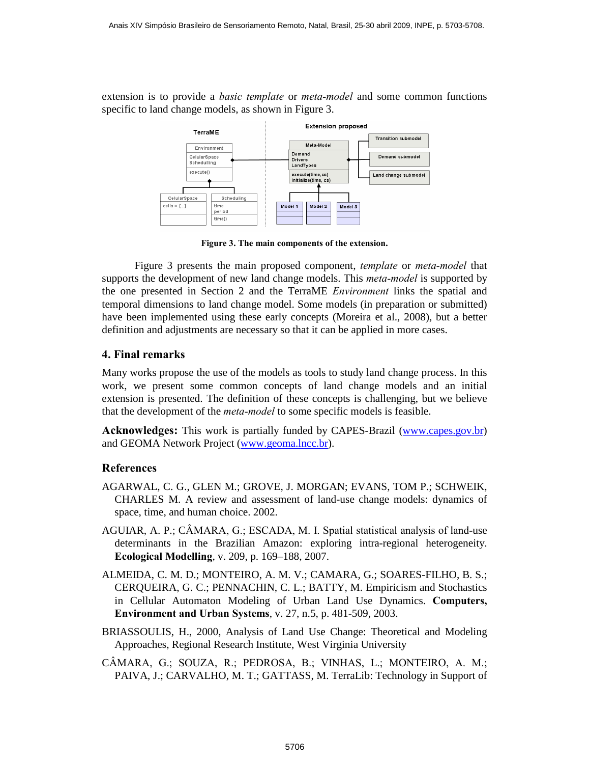extension is to provide a *basic template* or *meta-model* and some common functions specific to land change models, as shown in Figure 3.



**3. The main components of the extension.**

Figure <sup>3</sup> presents the main proposed component, template or meta-model that supports the development of new land change models. This *meta-model* is supported by the one presented in Section <sup>2</sup> and the TerraME Environment links the spatial and temporal dimensions to land change model. Some models (in preparation or submitted) have been implemented using these early concepts (Moreira et al., 2008), but a better definition and adjustments are necessary so that it can be applied in more cases. **4. Final remarks**

Many works propose the use of the models as tools to study land change process. In this work, we present some common concepts of land change models and an initial extension is presented. The definition of these concepts is challenging, but we believe that the development of the *meta-model* to some specific m extension is presented. The definition of these concepts is challenging, but we believe

Acknowledges: This work is partially funded by CAPES-Brazil (www.capes.gov.br) and GEOMA Network Project (www.geoma.lncc.br).

## **References**

- AGARWAL, C. G., GLEN M.; GROVE, J. MORGAN; EVANS, TOM P.; SCHWEIK, CHARLES M. A review and assessment of land-use change models: dynamics of space, time, and human choice. 2002. CHAKLES M. A review and assessment of land-use change models: dynamics of space, time, and human choice. 2002.<br>AGUIAR, A. P.; CÂMARA, G.; ESCADA, M. I. Spatial statistical analysis of land-use
- determinants in the Brazilian Amazon: exploring intra-regional heterogeneity.<br> **Ecological Modelling**, v. 209, p. 169–188, 2007.
- ALMEIDA, C. M. D.; MONTEIRO, A. M. V.; CAMARA, G.; SOARES-FILHO, B. S.; CERQUEIRA, G. C.; PENNACHIN, C. L.; BATTY, M. Empiricism and Stochastics MEIDA, C. M. D.; MONTEIRO, A. M. V.; CAMARA, G.; SOARES-FILHO, B. S.;<br>CERQUEIRA, G. C.; PENNACHIN, C. L.; BATTY, M. Empiricism and Stochastics<br>in Cellular Automaton Modeling of Urban Land Use Dynamics. Computers, G. C.; PENNACHIN, C. L.; BATTY, M. Empiricism<br>utomaton Modeling of Urban Land Use Dynamic<br>and Urban Systems, v. 27, n.5, p. 481-509, 2003.
- BRIASSOULIS, H., 2000, Analysis of Land Use Change: Theoretical and Modeling Approaches, Regional Research Institute, West Virginia University
- CÂMARA, G.; SOUZA, R.; PEDROSA, B.; VINHAS, L.; MONTEIRO, A. M.; PAIVA, J.; CARVALHO, M. T.; GATTASS, M. TerraLib: Technology in Support of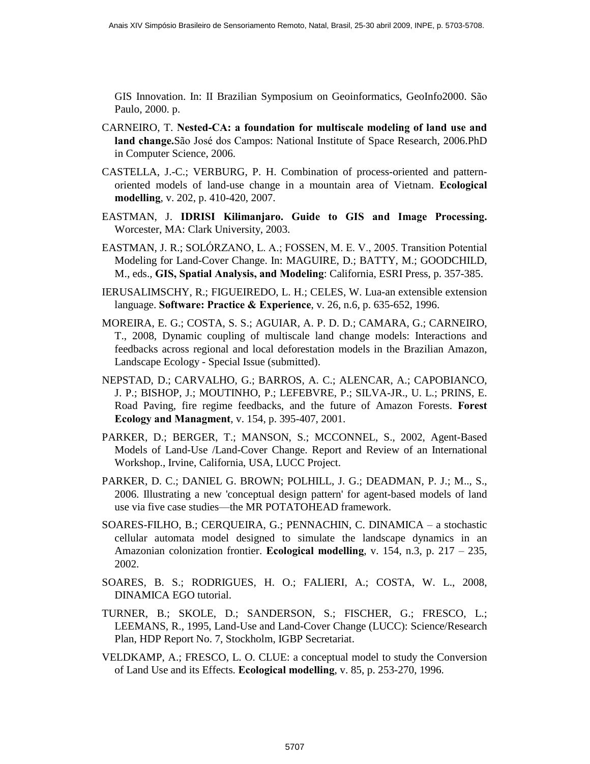GIS Innovation. In: II Brazilian Symposium on Geoinformatics, GeoInfo2000. São Paulo, 2000. p. **land**

- CARNEIRO, T. **Nested-CA: <sup>a</sup> foundation for multiscale modeling of land use and** land change.São José dos Campos: National Institute of Space Research, 2006.PhD in Computer Science, 2006.
- CASTELLA, J.-C.; VERBURG, P. H. Combination of process-oriented and pattern- In Computer Science, 2006.<br>STELLA, J.-C.; VERBURG, P. H. Combination of process-oriented and pattern-<br>oriented models of land-use change in a mountain area of Vietnam. **Ecological STELLA**, modelling, v. 202, p. 410-420, 2007. oriented models of land-use change in a mountain area of Vietnam. **Ecological** modelling, v. 202, p. 410-420, 2007.<br>EASTMAN, J. **IDRISI Kilimanjaro.** Guide to GIS and Image Processing.
- Worcester, MA: Clark University, 2003. EASTMAN, J. **IDRISI KIlmanjaro. Guide to GIS and Image Processing.**<br>Worcester, MA: Clark University, 2003.<br>EASTMAN, J. R.; SOLÓRZANO, L. A.; FOSSEN, M. E. V., 2005. Transition Potential
- Modeling for Land-Cover Change. In: MAGUIRE, D.; BATTY, M.; GOODCHILD, STMAN, J. R.; SOLÓRZANO, L. A.; FOSSEN, M. E. V., 2005. Transition Potential<br>Modeling for Land-Cover Change. In: MAGUIRE, D.; BATTY, M.; GOODCHILD,<br>M., eds., **GIS, Spatial Analysis, and Modeling**: California, ESRI Press, p
- IERUSALIMSCHY, R.; FIGUEIREDO, L. H.; CELES, W. Lua-an extensible extension language. **Software: Practice & Experience**, v. 26, n.6, p. 635-652, 1996.
- MOREIRA, E. G.; COSTA, S. S.; AGUIAR, A. P. D. D.; CAMARA, G.; CARNEIRO, T., 2008, Dynamic coupling of multiscale land change models: Interactions and feedbacks across regional and local deforestation models in the Brazilian Amazon, Landscape Ecology - Special Issue (submitted).
- NEPSTAD, D.; CARVALHO, G.; BARROS, A. C.; ALENCAR, A.; CAPOBIANCO, J. P.; BISHOP, J.; MOUTINHO, P.; LEFEBVRE, P.; SILVA-JR., U. L.; PRINS, E. **Ecology and Managment**, v. 154, p. 395-407, 2001. Road Paving, fire regime feedbacks, and the future of Amazon Forests. **Forest**
- PARKER, D.; BERGER, T.; MANSON, S.; MCCONNEL, S., 2002, Agent-Based Models of Land-Use /Land-Cover Change. Report and Review of an International Workshop., Irvine, California, USA, LUCC Project.
- PARKER, D. C.; DANIEL G. BROWN; POLHILL, J. G.; DEADMAN, P. J.; M.., S., 2006. Illustrating a new 'conceptual design pattern' for agent-based models of land use via five case studies—the MR POTATOHEAD framework. 2006. Illustrating a new 'conceptual design pattern' for agent-based models of land 2006. Illustrating a new conceptual design pattern for agent-based models of land<br>use via five case studies—the MR POTATOHEAD framework.<br>SOARES-FILHO, B.; CERQUEIRA, G.; PENNACHIN, C. DINAMICA – a stochastic
- cellular automata model designed to simulate the landscape dynamics in an ARES-FILHO, B.; CERQUEIRA, G.; PENNACHIN, C. DINAMICA – a stochastic cellular automata model designed to simulate the landscape dynamics in an Amazonian colonization frontier. **Ecological modelling**, v. 154, n.3, p. 217 – 2002.
- SOARES, B. S.; RODRIGUES, H. O.; FALIERI, A.; COSTA, W. L., 2008, DINAMICA EGO tutorial.
- TURNER, B.; SKOLE, D.; SANDERSON, S.; FISCHER, G.; FRESCO, L.; LEEMANS, R., 1995, Land-Use and Land-Cover Change (LUCC): Science/Research Plan, HDP Report No. 7, Stockholm, IGBP Secretariat.
- VELDKAMP, A.; FRESCO, L. O. CLUE: a conceptual model to study the Conversion Plan, HDP Report No. 7, Stockholm, IGBP Secretariat.<br>ELDKAMP, A.; FRESCO, L. O. CLUE: a conceptual model to study the Conve<br>of Land Use and its Effects. **Ecological modelling**, v. 85, p. 253-270, 1996.